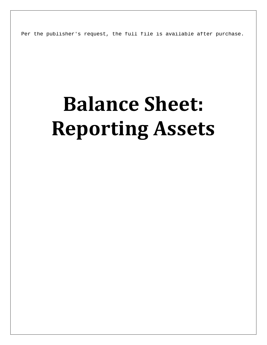Per the publisher's request, the full file is available after purchase.

# **Balance Sheet: Reporting Assets**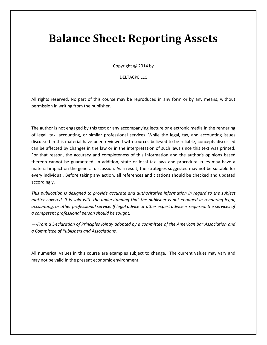## **Balance Sheet: Reporting Assets**

Copyright © 2014 by

#### DELTACPE LLC

All rights reserved. No part of this course may be reproduced in any form or by any means, without permission in writing from the publisher.

The author is not engaged by this text or any accompanying lecture or electronic media in the rendering of legal, tax, accounting, or similar professional services. While the legal, tax, and accounting issues discussed in this material have been reviewed with sources believed to be reliable, concepts discussed can be affected by changes in the law or in the interpretation of such laws since this text was printed. For that reason, the accuracy and completeness of this information and the author's opinions based thereon cannot be guaranteed. In addition, state or local tax laws and procedural rules may have a material impact on the general discussion. As a result, the strategies suggested may not be suitable for every individual. Before taking any action, all references and citations should be checked and updated accordingly.

*This publication is designed to provide accurate and authoritative information in regard to the subject matter covered. It is sold with the understanding that the publisher is not engaged in rendering legal, accounting, or other professional service. If legal advice or other expert advice is required, the services of a competent professional person should be sought.*

*—-From a Declaration of Principles jointly adopted by a committee of the American Bar Association and a Committee of Publishers and Associations.*

All numerical values in this course are examples subject to change. The current values may vary and may not be valid in the present economic environment.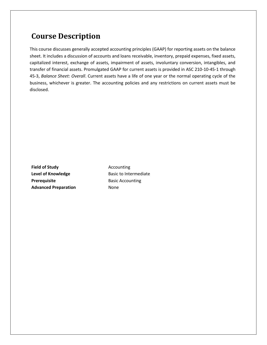### **Course Description**

This course discusses generally accepted accounting principles (GAAP) for reporting assets on the balance sheet. It includes a discussion of accounts and loans receivable, inventory, prepaid expenses, fixed assets, capitalized interest, exchange of assets, impairment of assets, involuntary conversion, intangibles, and transfer of financial assets. Promulgated GAAP for current assets is provided in ASC 210-10-45-1 through 45-3, *Balance Sheet: Overall*. Current assets have a life of one year or the normal operating cycle of the business, whichever is greater. The accounting policies and any restrictions on current assets must be disclosed.

**Field of Study Accounting** Level of Knowledge **Basic to Intermediate Prerequisite** Basic Accounting **Advanced Preparation** None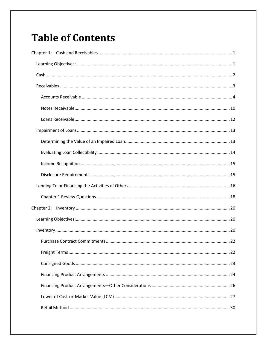## **Table of Contents**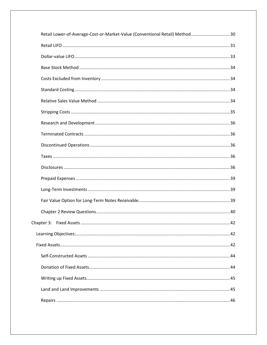| Retail Lower-of-Average-Cost-or-Market-Value (Conventional Retail) Method  30 |  |
|-------------------------------------------------------------------------------|--|
|                                                                               |  |
|                                                                               |  |
|                                                                               |  |
|                                                                               |  |
|                                                                               |  |
|                                                                               |  |
|                                                                               |  |
|                                                                               |  |
|                                                                               |  |
|                                                                               |  |
|                                                                               |  |
|                                                                               |  |
|                                                                               |  |
|                                                                               |  |
|                                                                               |  |
|                                                                               |  |
|                                                                               |  |
|                                                                               |  |
|                                                                               |  |
|                                                                               |  |
|                                                                               |  |
|                                                                               |  |
|                                                                               |  |
|                                                                               |  |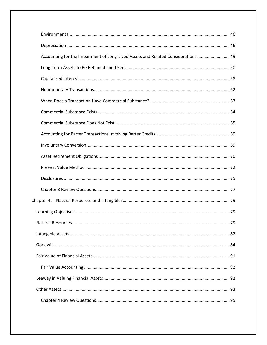| Accounting for the Impairment of Long-Lived Assets and Related Considerations  49 |
|-----------------------------------------------------------------------------------|
|                                                                                   |
|                                                                                   |
|                                                                                   |
|                                                                                   |
|                                                                                   |
|                                                                                   |
|                                                                                   |
|                                                                                   |
|                                                                                   |
|                                                                                   |
|                                                                                   |
|                                                                                   |
|                                                                                   |
|                                                                                   |
|                                                                                   |
|                                                                                   |
|                                                                                   |
|                                                                                   |
|                                                                                   |
|                                                                                   |
|                                                                                   |
|                                                                                   |